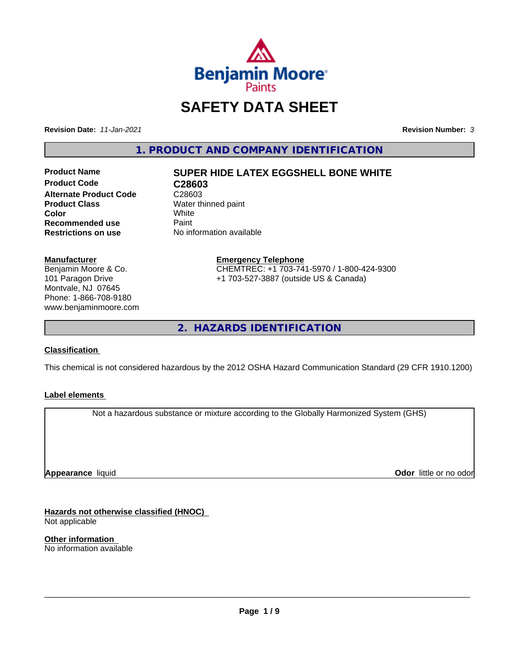

# **SAFETY DATA SHEET**

**Revision Date:** *11-Jan-2021* **Revision Number:** *3*

**1. PRODUCT AND COMPANY IDENTIFICATION**

**Product Code C28603**<br> **Alternate Product Code** C28603 **Alternate Product Code**<br>Product Class **Color** White White **Recommended use** Paint<br> **Restrictions on use** No inf

# **Product Name SUPER HIDE LATEX EGGSHELL BONE WHITE**

**Water thinned paint**<br>White **No information available** 

#### **Manufacturer**

Benjamin Moore & Co. 101 Paragon Drive Montvale, NJ 07645 Phone: 1-866-708-9180 www.benjaminmoore.com

#### **Emergency Telephone** CHEMTREC: +1 703-741-5970 / 1-800-424-9300 +1 703-527-3887 (outside US & Canada)

**2. HAZARDS IDENTIFICATION**

#### **Classification**

This chemical is not considered hazardous by the 2012 OSHA Hazard Communication Standard (29 CFR 1910.1200)

#### **Label elements**

Not a hazardous substance or mixture according to the Globally Harmonized System (GHS)

**Appearance** liquid

**Odor** little or no odor

**Hazards not otherwise classified (HNOC)** Not applicable

**Other information** No information available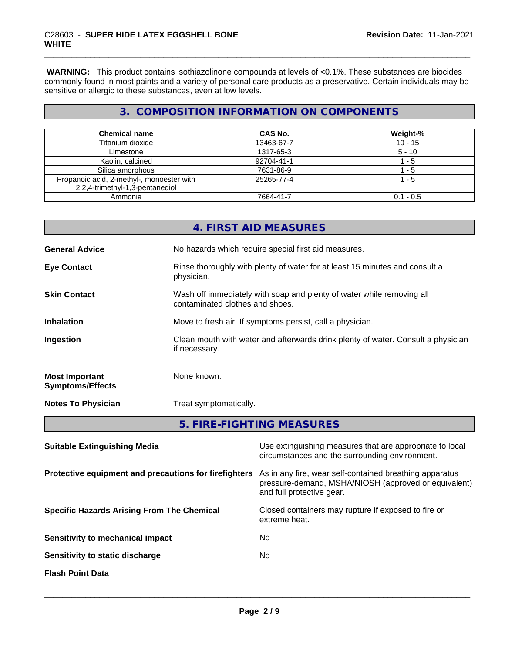**WARNING:** This product contains isothiazolinone compounds at levels of <0.1%. These substances are biocides commonly found in most paints and a variety of personal care products as a preservative. Certain individuals may be sensitive or allergic to these substances, even at low levels.

## **3. COMPOSITION INFORMATION ON COMPONENTS**

| <b>Chemical name</b>                      | CAS No.    | Weight-%    |
|-------------------------------------------|------------|-------------|
| Titanium dioxide                          | 13463-67-7 | $10 - 15$   |
| Limestone                                 | 1317-65-3  | $5 - 10$    |
| Kaolin, calcined                          | 92704-41-1 | - 5         |
| Silica amorphous                          | 7631-86-9  | - 5         |
| Propanoic acid, 2-methyl-, monoester with | 25265-77-4 | 1 - 5       |
| 2,2,4-trimethyl-1,3-pentanediol           |            |             |
| Ammonia                                   | 7664-41-7  | $0.1 - 0.5$ |

|                                                  | 4. FIRST AID MEASURES                                                                                    |
|--------------------------------------------------|----------------------------------------------------------------------------------------------------------|
| <b>General Advice</b>                            | No hazards which require special first aid measures.                                                     |
| <b>Eye Contact</b>                               | Rinse thoroughly with plenty of water for at least 15 minutes and consult a<br>physician.                |
| <b>Skin Contact</b>                              | Wash off immediately with soap and plenty of water while removing all<br>contaminated clothes and shoes. |
| <b>Inhalation</b>                                | Move to fresh air. If symptoms persist, call a physician.                                                |
| Ingestion                                        | Clean mouth with water and afterwards drink plenty of water. Consult a physician<br>if necessary.        |
| <b>Most Important</b><br><b>Symptoms/Effects</b> | None known.                                                                                              |
| <b>Notes To Physician</b>                        | Treat symptomatically.                                                                                   |
|                                                  | 5. FIRE-FIGHTING MEASURES                                                                                |

| <b>Suitable Extinguishing Media</b>                   | Use extinguishing measures that are appropriate to local<br>circumstances and the surrounding environment.                                   |
|-------------------------------------------------------|----------------------------------------------------------------------------------------------------------------------------------------------|
| Protective equipment and precautions for firefighters | As in any fire, wear self-contained breathing apparatus<br>pressure-demand, MSHA/NIOSH (approved or equivalent)<br>and full protective gear. |
| <b>Specific Hazards Arising From The Chemical</b>     | Closed containers may rupture if exposed to fire or<br>extreme heat.                                                                         |
| Sensitivity to mechanical impact                      | No                                                                                                                                           |
| Sensitivity to static discharge                       | No                                                                                                                                           |
| <b>Flash Point Data</b>                               |                                                                                                                                              |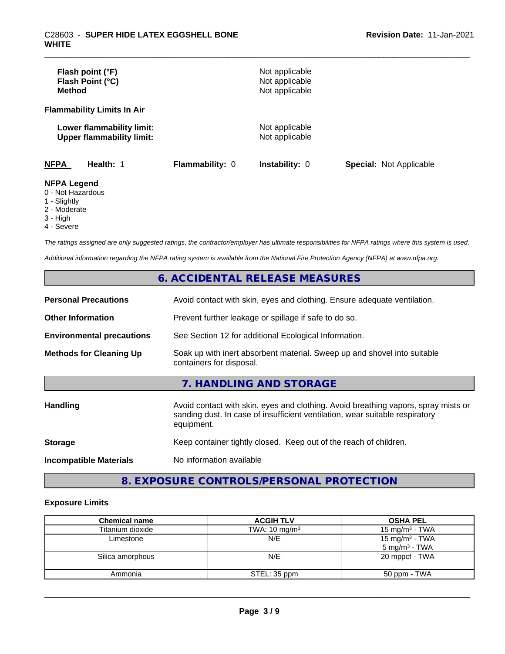| Flash point (°F)<br>Flash Point (°C)<br><b>Method</b>                  |                        | Not applicable<br>Not applicable<br>Not applicable |                                |
|------------------------------------------------------------------------|------------------------|----------------------------------------------------|--------------------------------|
| <b>Flammability Limits In Air</b>                                      |                        |                                                    |                                |
| Lower flammability limit:<br><b>Upper flammability limit:</b>          |                        | Not applicable<br>Not applicable                   |                                |
| <b>NFPA</b><br>Health: 1                                               | <b>Flammability: 0</b> | <b>Instability: 0</b>                              | <b>Special: Not Applicable</b> |
| <b>NFPA Legend</b><br>0 - Not Hazardous<br>$\sim$ $\sim$ $\sim$ $\sim$ |                        |                                                    |                                |

- 1 Slightly
- 2 Moderate
- 3 High
- 4 Severe

*The ratings assigned are only suggested ratings, the contractor/employer has ultimate responsibilities for NFPA ratings where this system is used.*

*Additional information regarding the NFPA rating system is available from the National Fire Protection Agency (NFPA) at www.nfpa.org.*

## **6. ACCIDENTAL RELEASE MEASURES**

| <b>Personal Precautions</b>      | Avoid contact with skin, eyes and clothing. Ensure adequate ventilation.                                                                                                         |
|----------------------------------|----------------------------------------------------------------------------------------------------------------------------------------------------------------------------------|
| <b>Other Information</b>         | Prevent further leakage or spillage if safe to do so.                                                                                                                            |
| <b>Environmental precautions</b> | See Section 12 for additional Ecological Information.                                                                                                                            |
| <b>Methods for Cleaning Up</b>   | Soak up with inert absorbent material. Sweep up and shovel into suitable<br>containers for disposal.                                                                             |
|                                  | 7. HANDLING AND STORAGE                                                                                                                                                          |
| Handling                         | Avoid contact with skin, eyes and clothing. Avoid breathing vapors, spray mists or<br>sanding dust. In case of insufficient ventilation, wear suitable respiratory<br>equipment. |
| <b>Storage</b>                   | Keep container tightly closed. Keep out of the reach of children.                                                                                                                |
| <b>Incompatible Materials</b>    | No information available                                                                                                                                                         |

## **8. EXPOSURE CONTROLS/PERSONAL PROTECTION**

#### **Exposure Limits**

| <b>Chemical name</b> | <b>ACGIH TLV</b>         | <b>OSHA PEL</b>                                        |
|----------------------|--------------------------|--------------------------------------------------------|
| Titanium dioxide     | TWA: $10 \text{ mg/m}^3$ | 15 mg/m $3$ - TWA                                      |
| Limestone            | N/E                      | 15 mg/m <sup>3</sup> - TWA<br>$5 \text{ mg/m}^3$ - TWA |
| Silica amorphous     | N/E                      | 20 mppcf - TWA                                         |
| Ammonia              | STEL: 35 ppm             | 50 ppm - TWA                                           |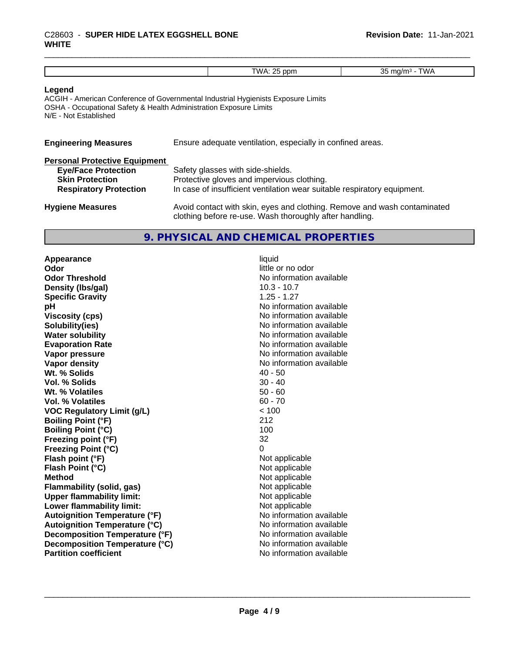## \_\_\_\_\_\_\_\_\_\_\_\_\_\_\_\_\_\_\_\_\_\_\_\_\_\_\_\_\_\_\_\_\_\_\_\_\_\_\_\_\_\_\_\_\_\_\_\_\_\_\_\_\_\_\_\_\_\_\_\_\_\_\_\_\_\_\_\_\_\_\_\_\_\_\_\_\_\_\_\_\_\_\_\_\_\_\_\_\_\_\_\_\_ C28603 - **SUPER HIDE LATEX EGGSHELL BONE WHITE**

#### **Legend**

ACGIH - American Conference of Governmental Industrial Hygienists Exposure Limits OSHA - Occupational Safety & Health Administration Exposure Limits N/E - Not Established

| <b>Engineering Measures</b>   | Ensure adequate ventilation, especially in confined areas. |
|-------------------------------|------------------------------------------------------------|
| Personal Protective Equipment |                                                            |

| <b>Eye/Face Protection</b><br><b>Skin Protection</b> | Safety glasses with side-shields.<br>Protective gloves and impervious clothing.                                                     |
|------------------------------------------------------|-------------------------------------------------------------------------------------------------------------------------------------|
| <b>Respiratory Protection</b>                        | In case of insufficient ventilation wear suitable respiratory equipment.                                                            |
| <b>Hygiene Measures</b>                              | Avoid contact with skin, eyes and clothing. Remove and wash contaminated<br>clothing before re-use. Wash thoroughly after handling. |

## **9. PHYSICAL AND CHEMICAL PROPERTIES**

**Appearance** liquid **Odor** little or no odor **Odor Threshold No information available No information available Density (lbs/gal)** 10.3 - 10.7 **Specific Gravity** 1.25 - 1.27 **pH pH**  $\blacksquare$ **Viscosity (cps)** No information available **Solubility(ies)** No information available **Water solubility Water solubility Water solubility Water solubility Water solubility Water solution Evaporation Rate No information available No information available Vapor pressure** No information available **Vapor density Vapor** density **Wt. % Solids** 40 - 50<br> **Vol. % Solids** 40 - 40<br>
40 - 40 **Vol. % Solids** 30 - 40<br> **Wt. % Volatiles** 30 - 40 **Wt. % Volatiles Vol. % Volatiles** 60 - 70 **VOC Regulatory Limit (g/L)** < 100 **Boiling Point (°F)** 212 **Boiling Point (°C)** 100 **Freezing point (°F)** 32 **Freezing Point (°C)**<br> **Flash point (°F)**<br> **Flash point (°F)**<br> **Point (°F)**<br> **Point (°F)**<br> **Point District (°F)**<br> **Point District (°F) Flash point (°F)**<br> **Flash Point (°C)**<br> **Flash Point (°C)**<br> **C Flash Point (°C) Method**<br> **Flammability (solid, gas)**<br> **Example 2018** Not applicable **Flammability (solid, gas)** Not applicable<br> **Upper flammability limit:** Not applicable **Upper flammability limit: Lower flammability limit:** Not applicable **Autoignition Temperature (°F)** No information available **Autoignition Temperature (°C)** No information available **Decomposition Temperature (°F)** No information available **Decomposition Temperature (°C)** No information available **Partition coefficient** No information available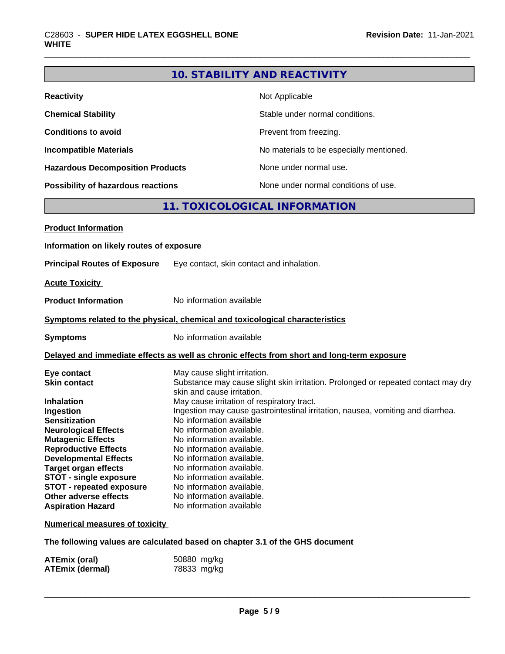## **10. STABILITY AND REACTIVITY**

| <b>Reactivity</b>                       | Not Applicable                           |
|-----------------------------------------|------------------------------------------|
| <b>Chemical Stability</b>               | Stable under normal conditions.          |
| <b>Conditions to avoid</b>              | Prevent from freezing.                   |
| <b>Incompatible Materials</b>           | No materials to be especially mentioned. |
| <b>Hazardous Decomposition Products</b> | None under normal use.                   |
| Possibility of hazardous reactions      | None under normal conditions of use.     |

## **11. TOXICOLOGICAL INFORMATION**

| <b>Product Information</b>               |                                                                                                                 |
|------------------------------------------|-----------------------------------------------------------------------------------------------------------------|
| Information on likely routes of exposure |                                                                                                                 |
| <b>Principal Routes of Exposure</b>      | Eye contact, skin contact and inhalation.                                                                       |
| <b>Acute Toxicity</b>                    |                                                                                                                 |
| <b>Product Information</b>               | No information available                                                                                        |
|                                          | Symptoms related to the physical, chemical and toxicological characteristics                                    |
| <b>Symptoms</b>                          | No information available                                                                                        |
|                                          | Delayed and immediate effects as well as chronic effects from short and long-term exposure                      |
| Eye contact                              | May cause slight irritation.                                                                                    |
| <b>Skin contact</b>                      | Substance may cause slight skin irritation. Prolonged or repeated contact may dry<br>skin and cause irritation. |
| <b>Inhalation</b>                        | May cause irritation of respiratory tract.                                                                      |
| Ingestion                                | Ingestion may cause gastrointestinal irritation, nausea, vomiting and diarrhea.                                 |
| <b>Sensitization</b>                     | No information available                                                                                        |
| <b>Neurological Effects</b>              | No information available.                                                                                       |
| <b>Mutagenic Effects</b>                 | No information available.                                                                                       |
| <b>Reproductive Effects</b>              | No information available.                                                                                       |
| <b>Developmental Effects</b>             | No information available.                                                                                       |
| <b>Target organ effects</b>              | No information available.                                                                                       |
| STOT - single exposure                   | No information available.                                                                                       |
| <b>STOT - repeated exposure</b>          | No information available.                                                                                       |
| Other adverse effects                    | No information available.                                                                                       |
| <b>Aspiration Hazard</b>                 | No information available                                                                                        |
| <b>Numerical measures of toxicity</b>    |                                                                                                                 |

**The following values are calculated based on chapter 3.1 of the GHS document**

| <b>ATEmix (oral)</b>   | 50880 mg/kg |
|------------------------|-------------|
| <b>ATEmix (dermal)</b> | 78833 mg/kg |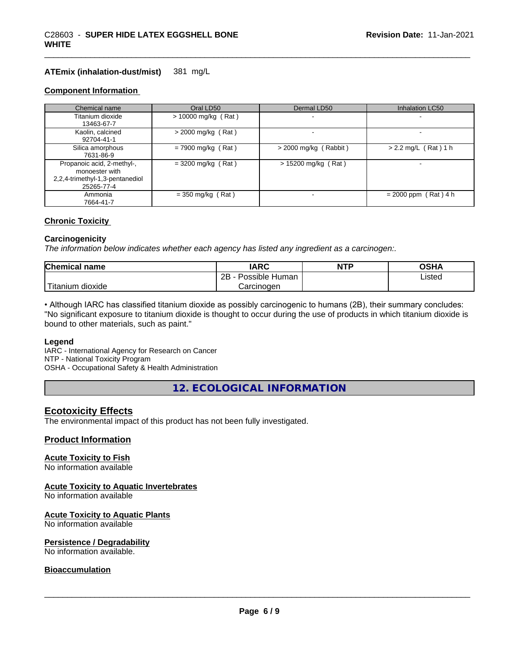#### **ATEmix (inhalation-dust/mist)** 381 mg/L

#### **Component Information**

| Chemical name                                                                                 | Oral LD50             | Dermal LD50             | Inhalation LC50          |
|-----------------------------------------------------------------------------------------------|-----------------------|-------------------------|--------------------------|
| Titanium dioxide<br>13463-67-7                                                                | $> 10000$ mg/kg (Rat) |                         |                          |
| Kaolin, calcined<br>92704-41-1                                                                | $>$ 2000 mg/kg (Rat)  |                         |                          |
| Silica amorphous<br>7631-86-9                                                                 | $= 7900$ mg/kg (Rat)  | $>$ 2000 mg/kg (Rabbit) | $> 2.2$ mg/L (Rat) 1 h   |
| Propanoic acid, 2-methyl-,<br>monoester with<br>2,2,4-trimethyl-1,3-pentanediol<br>25265-77-4 | $=$ 3200 mg/kg (Rat)  | $> 15200$ mg/kg (Rat)   | $\overline{\phantom{0}}$ |
| Ammonia<br>7664-41-7                                                                          | $=$ 350 mg/kg (Rat)   |                         | $= 2000$ ppm (Rat) 4 h   |

#### **Chronic Toxicity**

#### **Carcinogenicity**

*The information below indicateswhether each agency has listed any ingredient as a carcinogen:.*

| <b>Chemical</b><br>name         | <b>IARC</b>                    | <b>NTP</b> | ດເ⊔າ<br>שרט    |
|---------------------------------|--------------------------------|------------|----------------|
|                                 | . .<br>2B<br>Possible<br>Human |            | Listed<br>____ |
| <br>. dioxide<br><b>itanium</b> | Carcinogen                     |            |                |

• Although IARC has classified titanium dioxide as possibly carcinogenic to humans (2B), their summary concludes: "No significant exposure to titanium dioxide is thought to occur during the use of products in which titanium dioxide is bound to other materials, such as paint."

#### **Legend**

IARC - International Agency for Research on Cancer NTP - National Toxicity Program OSHA - Occupational Safety & Health Administration

**12. ECOLOGICAL INFORMATION**

#### **Ecotoxicity Effects**

The environmental impact of this product has not been fully investigated.

#### **Product Information**

#### **Acute Toxicity to Fish**

No information available

#### **Acute Toxicity to Aquatic Invertebrates**

No information available

#### **Acute Toxicity to Aquatic Plants**

No information available

#### **Persistence / Degradability**

No information available.

#### **Bioaccumulation**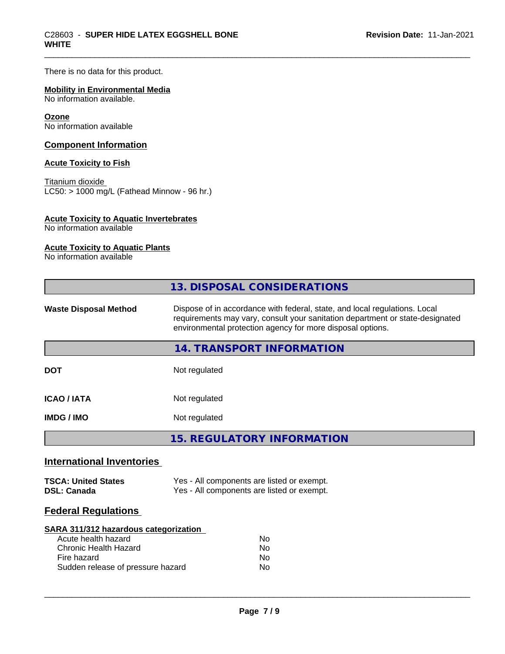There is no data for this product.

### **Mobility in Environmental Media**

No information available.

#### **Ozone**

No information available

#### **Component Information**

#### **Acute Toxicity to Fish**

Titanium dioxide  $\overline{\text{LC50:}}$  > 1000 mg/L (Fathead Minnow - 96 hr.)

#### **Acute Toxicity to Aquatic Invertebrates**

No information available

### **Acute Toxicity to Aquatic Plants**

No information available

|                                                  | 13. DISPOSAL CONSIDERATIONS                                                                                                                                                                                               |  |  |
|--------------------------------------------------|---------------------------------------------------------------------------------------------------------------------------------------------------------------------------------------------------------------------------|--|--|
| <b>Waste Disposal Method</b>                     | Dispose of in accordance with federal, state, and local regulations. Local<br>requirements may vary, consult your sanitation department or state-designated<br>environmental protection agency for more disposal options. |  |  |
|                                                  | <b>14. TRANSPORT INFORMATION</b>                                                                                                                                                                                          |  |  |
| <b>DOT</b>                                       | Not regulated                                                                                                                                                                                                             |  |  |
| <b>ICAO/IATA</b>                                 | Not regulated                                                                                                                                                                                                             |  |  |
| <b>IMDG/IMO</b>                                  | Not regulated                                                                                                                                                                                                             |  |  |
|                                                  | <b>15. REGULATORY INFORMATION</b>                                                                                                                                                                                         |  |  |
| <b>International Inventories</b>                 |                                                                                                                                                                                                                           |  |  |
| <b>TSCA: United States</b><br><b>DSL: Canada</b> | Yes - All components are listed or exempt.<br>Yes - All components are listed or exempt.                                                                                                                                  |  |  |
| <b>Federal Regulations</b>                       |                                                                                                                                                                                                                           |  |  |
|                                                  |                                                                                                                                                                                                                           |  |  |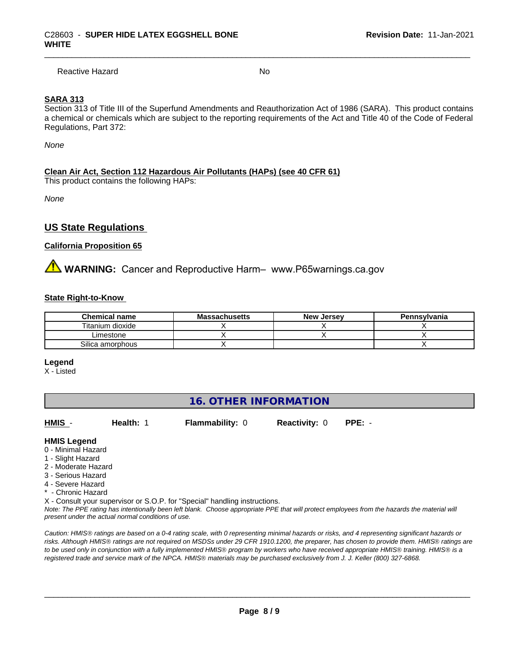Reactive Hazard No. No. 2014

#### **SARA 313**

Section 313 of Title III of the Superfund Amendments and Reauthorization Act of 1986 (SARA). This product contains a chemical or chemicals which are subject to the reporting requirements of the Act and Title 40 of the Code of Federal Regulations, Part 372:

*None*

#### **Clean Air Act,Section 112 Hazardous Air Pollutants (HAPs) (see 40 CFR 61)**

This product contains the following HAPs:

*None*

## **US State Regulations**

#### **California Proposition 65**

**WARNING:** Cancer and Reproductive Harm– www.P65warnings.ca.gov

#### **State Right-to-Know**

| <b>Chemical name</b> | <b>Massachusetts</b> | <b>New Jersey</b> | Pennsylvania |
|----------------------|----------------------|-------------------|--------------|
| Titanium dioxide     |                      |                   |              |
| _imestone            |                      |                   |              |
| Silica amorphous     |                      |                   |              |

**Legend**

X - Listed

## **16. OTHER INFORMATION**

**HMIS** - **Health:** 1 **Flammability:** 0 **Reactivity:** 0 **PPE:** -

 $\overline{\phantom{a}}$  ,  $\overline{\phantom{a}}$  ,  $\overline{\phantom{a}}$  ,  $\overline{\phantom{a}}$  ,  $\overline{\phantom{a}}$  ,  $\overline{\phantom{a}}$  ,  $\overline{\phantom{a}}$  ,  $\overline{\phantom{a}}$  ,  $\overline{\phantom{a}}$  ,  $\overline{\phantom{a}}$  ,  $\overline{\phantom{a}}$  ,  $\overline{\phantom{a}}$  ,  $\overline{\phantom{a}}$  ,  $\overline{\phantom{a}}$  ,  $\overline{\phantom{a}}$  ,  $\overline{\phantom{a}}$ 

#### **HMIS Legend**

- 0 Minimal Hazard
- 1 Slight Hazard
- 2 Moderate Hazard
- 3 Serious Hazard
- 4 Severe Hazard
- \* Chronic Hazard

X - Consult your supervisor or S.O.P. for "Special" handling instructions.

*Note: The PPE rating has intentionally been left blank. Choose appropriate PPE that will protect employees from the hazards the material will present under the actual normal conditions of use.*

*Caution: HMISÒ ratings are based on a 0-4 rating scale, with 0 representing minimal hazards or risks, and 4 representing significant hazards or risks. Although HMISÒ ratings are not required on MSDSs under 29 CFR 1910.1200, the preparer, has chosen to provide them. HMISÒ ratings are to be used only in conjunction with a fully implemented HMISÒ program by workers who have received appropriate HMISÒ training. HMISÒ is a registered trade and service mark of the NPCA. HMISÒ materials may be purchased exclusively from J. J. Keller (800) 327-6868.*